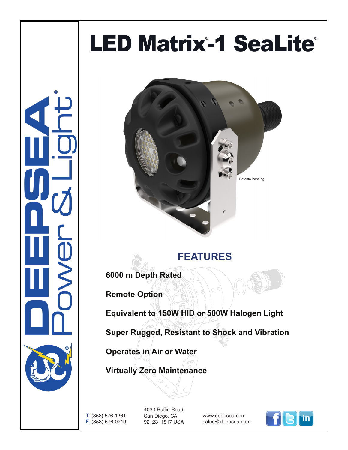## LED Matrix-1 SeaLite®

**CONSUMERING** Power & Light ®



## **FEATURES**

**6000 m Depth Rated**

**Remote Option** 

**Equivalent to 150W HID or 500W Halogen Light**

**Super Rugged, Resistant to Shock and Vibration**

**Operates in Air or Water**

**Virtually Zero Maintenance** 

T: (858) 576-1261 F: (858) 576-0219

4033 Ruffin Road San Diego, CA 92123- 1817 USA

www.deepsea.com sales@deepsea.com